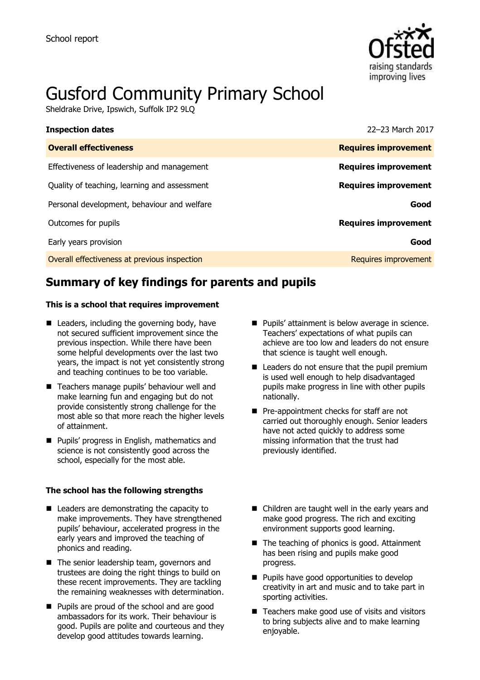

# Gusford Community Primary School

Sheldrake Drive, Ipswich, Suffolk IP2 9LQ

| <b>Inspection dates</b>                      | 22-23 March 2017            |
|----------------------------------------------|-----------------------------|
| <b>Overall effectiveness</b>                 | <b>Requires improvement</b> |
| Effectiveness of leadership and management   | <b>Requires improvement</b> |
| Quality of teaching, learning and assessment | <b>Requires improvement</b> |
| Personal development, behaviour and welfare  | Good                        |
| Outcomes for pupils                          | <b>Requires improvement</b> |
| Early years provision                        | Good                        |
| Overall effectiveness at previous inspection | Requires improvement        |

# **Summary of key findings for parents and pupils**

#### **This is a school that requires improvement**

- Leaders, including the governing body, have not secured sufficient improvement since the previous inspection. While there have been some helpful developments over the last two years, the impact is not yet consistently strong and teaching continues to be too variable.
- Teachers manage pupils' behaviour well and make learning fun and engaging but do not provide consistently strong challenge for the most able so that more reach the higher levels of attainment.
- **Pupils' progress in English, mathematics and** science is not consistently good across the school, especially for the most able.

#### **The school has the following strengths**

- Leaders are demonstrating the capacity to make improvements. They have strengthened pupils' behaviour, accelerated progress in the early years and improved the teaching of phonics and reading.
- The senior leadership team, governors and trustees are doing the right things to build on these recent improvements. They are tackling the remaining weaknesses with determination.
- **Pupils are proud of the school and are good** ambassadors for its work. Their behaviour is good. Pupils are polite and courteous and they develop good attitudes towards learning.
- **Pupils' attainment is below average in science.** Teachers' expectations of what pupils can achieve are too low and leaders do not ensure that science is taught well enough.
- Leaders do not ensure that the pupil premium is used well enough to help disadvantaged pupils make progress in line with other pupils nationally.
- **Pre-appointment checks for staff are not** carried out thoroughly enough. Senior leaders have not acted quickly to address some missing information that the trust had previously identified.
- Children are taught well in the early years and make good progress. The rich and exciting environment supports good learning.
- The teaching of phonics is good. Attainment has been rising and pupils make good progress.
- **Pupils have good opportunities to develop** creativity in art and music and to take part in sporting activities.
- $\blacksquare$  Teachers make good use of visits and visitors to bring subjects alive and to make learning enjoyable.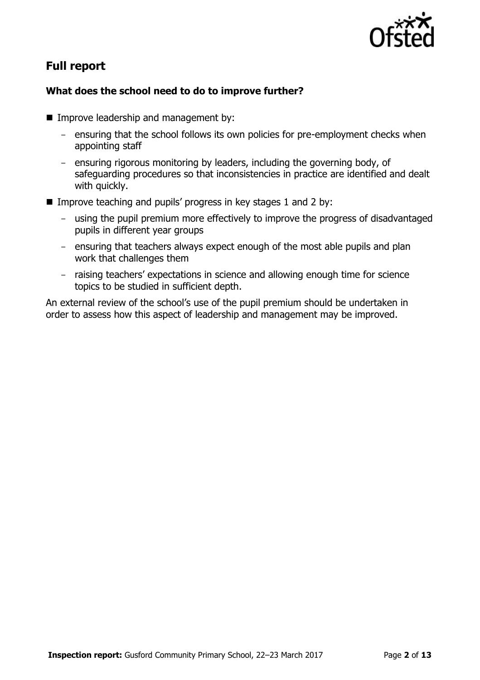

# **Full report**

### **What does the school need to do to improve further?**

- **IMPROPE DEADERS** Improve leadership and management by:
	- ensuring that the school follows its own policies for pre-employment checks when appointing staff
	- ensuring rigorous monitoring by leaders, including the governing body, of safeguarding procedures so that inconsistencies in practice are identified and dealt with quickly.
- Improve teaching and pupils' progress in key stages 1 and 2 by:
	- using the pupil premium more effectively to improve the progress of disadvantaged pupils in different year groups
	- ensuring that teachers always expect enough of the most able pupils and plan work that challenges them
	- raising teachers' expectations in science and allowing enough time for science topics to be studied in sufficient depth.

An external review of the school's use of the pupil premium should be undertaken in order to assess how this aspect of leadership and management may be improved.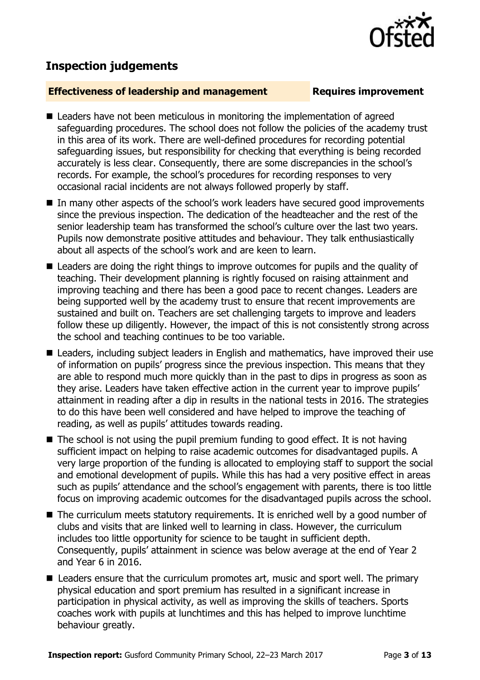# **Inspection judgements**

### **Effectiveness of leadership and management Requires improvement**

- Leaders have not been meticulous in monitoring the implementation of agreed safeguarding procedures. The school does not follow the policies of the academy trust in this area of its work. There are well-defined procedures for recording potential safeguarding issues, but responsibility for checking that everything is being recorded accurately is less clear. Consequently, there are some discrepancies in the school's records. For example, the school's procedures for recording responses to very occasional racial incidents are not always followed properly by staff.
- In many other aspects of the school's work leaders have secured good improvements since the previous inspection. The dedication of the headteacher and the rest of the senior leadership team has transformed the school's culture over the last two years. Pupils now demonstrate positive attitudes and behaviour. They talk enthusiastically about all aspects of the school's work and are keen to learn.
- Leaders are doing the right things to improve outcomes for pupils and the quality of teaching. Their development planning is rightly focused on raising attainment and improving teaching and there has been a good pace to recent changes. Leaders are being supported well by the academy trust to ensure that recent improvements are sustained and built on. Teachers are set challenging targets to improve and leaders follow these up diligently. However, the impact of this is not consistently strong across the school and teaching continues to be too variable.
- Leaders, including subject leaders in English and mathematics, have improved their use of information on pupils' progress since the previous inspection. This means that they are able to respond much more quickly than in the past to dips in progress as soon as they arise. Leaders have taken effective action in the current year to improve pupils' attainment in reading after a dip in results in the national tests in 2016. The strategies to do this have been well considered and have helped to improve the teaching of reading, as well as pupils' attitudes towards reading.
- The school is not using the pupil premium funding to good effect. It is not having sufficient impact on helping to raise academic outcomes for disadvantaged pupils. A very large proportion of the funding is allocated to employing staff to support the social and emotional development of pupils. While this has had a very positive effect in areas such as pupils' attendance and the school's engagement with parents, there is too little focus on improving academic outcomes for the disadvantaged pupils across the school.
- The curriculum meets statutory requirements. It is enriched well by a good number of clubs and visits that are linked well to learning in class. However, the curriculum includes too little opportunity for science to be taught in sufficient depth. Consequently, pupils' attainment in science was below average at the end of Year 2 and Year 6 in 2016.
- Leaders ensure that the curriculum promotes art, music and sport well. The primary physical education and sport premium has resulted in a significant increase in participation in physical activity, as well as improving the skills of teachers. Sports coaches work with pupils at lunchtimes and this has helped to improve lunchtime behaviour greatly.

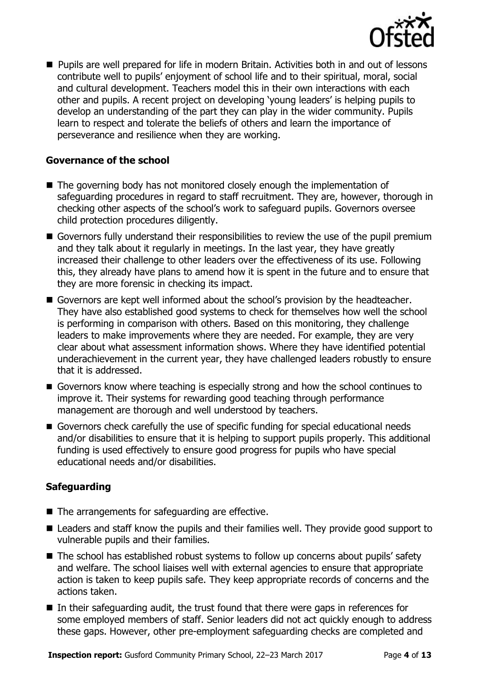

■ Pupils are well prepared for life in modern Britain. Activities both in and out of lessons contribute well to pupils' enjoyment of school life and to their spiritual, moral, social and cultural development. Teachers model this in their own interactions with each other and pupils. A recent project on developing 'young leaders' is helping pupils to develop an understanding of the part they can play in the wider community. Pupils learn to respect and tolerate the beliefs of others and learn the importance of perseverance and resilience when they are working.

#### **Governance of the school**

- The governing body has not monitored closely enough the implementation of safeguarding procedures in regard to staff recruitment. They are, however, thorough in checking other aspects of the school's work to safeguard pupils. Governors oversee child protection procedures diligently.
- Governors fully understand their responsibilities to review the use of the pupil premium and they talk about it regularly in meetings. In the last year, they have greatly increased their challenge to other leaders over the effectiveness of its use. Following this, they already have plans to amend how it is spent in the future and to ensure that they are more forensic in checking its impact.
- Governors are kept well informed about the school's provision by the headteacher. They have also established good systems to check for themselves how well the school is performing in comparison with others. Based on this monitoring, they challenge leaders to make improvements where they are needed. For example, they are very clear about what assessment information shows. Where they have identified potential underachievement in the current year, they have challenged leaders robustly to ensure that it is addressed.
- Governors know where teaching is especially strong and how the school continues to improve it. Their systems for rewarding good teaching through performance management are thorough and well understood by teachers.
- Governors check carefully the use of specific funding for special educational needs and/or disabilities to ensure that it is helping to support pupils properly. This additional funding is used effectively to ensure good progress for pupils who have special educational needs and/or disabilities.

#### **Safeguarding**

- The arrangements for safeguarding are effective.
- Leaders and staff know the pupils and their families well. They provide good support to vulnerable pupils and their families.
- The school has established robust systems to follow up concerns about pupils' safety and welfare. The school liaises well with external agencies to ensure that appropriate action is taken to keep pupils safe. They keep appropriate records of concerns and the actions taken.
- In their safeguarding audit, the trust found that there were gaps in references for some employed members of staff. Senior leaders did not act quickly enough to address these gaps. However, other pre-employment safeguarding checks are completed and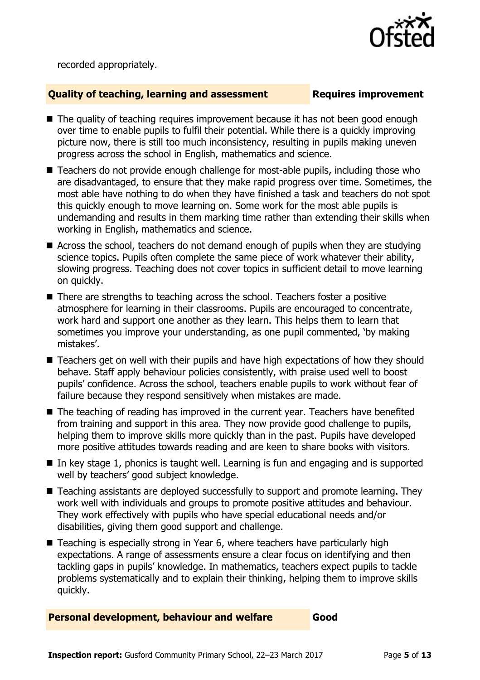

recorded appropriately.

#### **Quality of teaching, learning and assessment Requires improvement**

- The quality of teaching requires improvement because it has not been good enough over time to enable pupils to fulfil their potential. While there is a quickly improving picture now, there is still too much inconsistency, resulting in pupils making uneven progress across the school in English, mathematics and science.
- Teachers do not provide enough challenge for most-able pupils, including those who are disadvantaged, to ensure that they make rapid progress over time. Sometimes, the most able have nothing to do when they have finished a task and teachers do not spot this quickly enough to move learning on. Some work for the most able pupils is undemanding and results in them marking time rather than extending their skills when working in English, mathematics and science.
- Across the school, teachers do not demand enough of pupils when they are studying science topics. Pupils often complete the same piece of work whatever their ability, slowing progress. Teaching does not cover topics in sufficient detail to move learning on quickly.
- There are strengths to teaching across the school. Teachers foster a positive atmosphere for learning in their classrooms. Pupils are encouraged to concentrate, work hard and support one another as they learn. This helps them to learn that sometimes you improve your understanding, as one pupil commented, 'by making mistakes'.
- Teachers get on well with their pupils and have high expectations of how they should behave. Staff apply behaviour policies consistently, with praise used well to boost pupils' confidence. Across the school, teachers enable pupils to work without fear of failure because they respond sensitively when mistakes are made.
- The teaching of reading has improved in the current year. Teachers have benefited from training and support in this area. They now provide good challenge to pupils, helping them to improve skills more quickly than in the past. Pupils have developed more positive attitudes towards reading and are keen to share books with visitors.
- $\blacksquare$  In key stage 1, phonics is taught well. Learning is fun and engaging and is supported well by teachers' good subject knowledge.
- Teaching assistants are deployed successfully to support and promote learning. They work well with individuals and groups to promote positive attitudes and behaviour. They work effectively with pupils who have special educational needs and/or disabilities, giving them good support and challenge.
- Teaching is especially strong in Year 6, where teachers have particularly high expectations. A range of assessments ensure a clear focus on identifying and then tackling gaps in pupils' knowledge. In mathematics, teachers expect pupils to tackle problems systematically and to explain their thinking, helping them to improve skills quickly.

#### **Personal development, behaviour and welfare Good**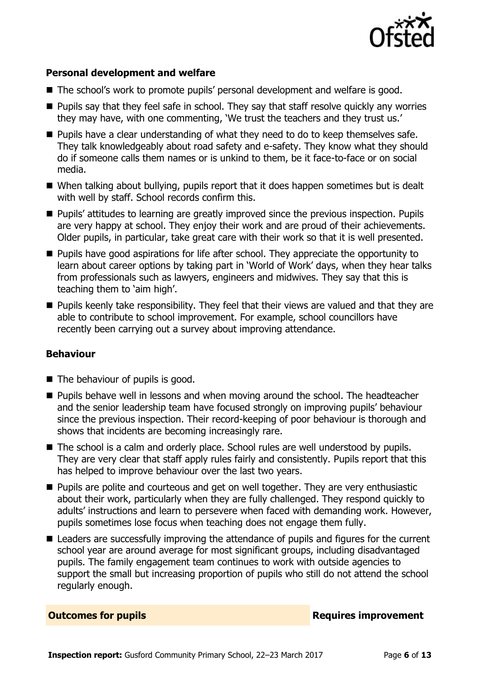

### **Personal development and welfare**

- The school's work to promote pupils' personal development and welfare is good.
- $\blacksquare$  Pupils say that they feel safe in school. They say that staff resolve quickly any worries they may have, with one commenting, 'We trust the teachers and they trust us.'
- **Pupils have a clear understanding of what they need to do to keep themselves safe.** They talk knowledgeably about road safety and e-safety. They know what they should do if someone calls them names or is unkind to them, be it face-to-face or on social media.
- When talking about bullying, pupils report that it does happen sometimes but is dealt with well by staff. School records confirm this.
- **Pupils' attitudes to learning are greatly improved since the previous inspection. Pupils** are very happy at school. They enjoy their work and are proud of their achievements. Older pupils, in particular, take great care with their work so that it is well presented.
- **Pupils have good aspirations for life after school. They appreciate the opportunity to** learn about career options by taking part in 'World of Work' days, when they hear talks from professionals such as lawyers, engineers and midwives. They say that this is teaching them to 'aim high'.
- **Pupils keenly take responsibility. They feel that their views are valued and that they are** able to contribute to school improvement. For example, school councillors have recently been carrying out a survey about improving attendance.

#### **Behaviour**

- The behaviour of pupils is good.
- **Pupils behave well in lessons and when moving around the school. The headteacher** and the senior leadership team have focused strongly on improving pupils' behaviour since the previous inspection. Their record-keeping of poor behaviour is thorough and shows that incidents are becoming increasingly rare.
- The school is a calm and orderly place. School rules are well understood by pupils. They are very clear that staff apply rules fairly and consistently. Pupils report that this has helped to improve behaviour over the last two years.
- **Pupils are polite and courteous and get on well together. They are very enthusiastic** about their work, particularly when they are fully challenged. They respond quickly to adults' instructions and learn to persevere when faced with demanding work. However, pupils sometimes lose focus when teaching does not engage them fully.
- Leaders are successfully improving the attendance of pupils and figures for the current school year are around average for most significant groups, including disadvantaged pupils. The family engagement team continues to work with outside agencies to support the small but increasing proportion of pupils who still do not attend the school regularly enough.

**Outcomes for pupils Requires improvement**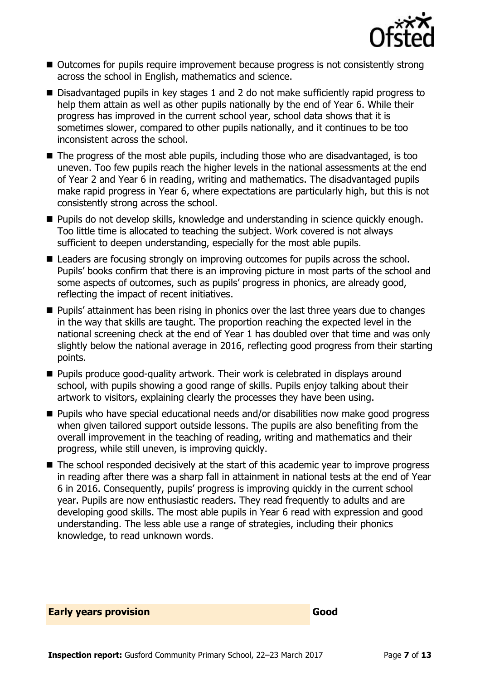

- Outcomes for pupils require improvement because progress is not consistently strong across the school in English, mathematics and science.
- Disadvantaged pupils in key stages 1 and 2 do not make sufficiently rapid progress to help them attain as well as other pupils nationally by the end of Year 6. While their progress has improved in the current school year, school data shows that it is sometimes slower, compared to other pupils nationally, and it continues to be too inconsistent across the school.
- $\blacksquare$  The progress of the most able pupils, including those who are disadvantaged, is too uneven. Too few pupils reach the higher levels in the national assessments at the end of Year 2 and Year 6 in reading, writing and mathematics. The disadvantaged pupils make rapid progress in Year 6, where expectations are particularly high, but this is not consistently strong across the school.
- Pupils do not develop skills, knowledge and understanding in science quickly enough. Too little time is allocated to teaching the subject. Work covered is not always sufficient to deepen understanding, especially for the most able pupils.
- Leaders are focusing strongly on improving outcomes for pupils across the school. Pupils' books confirm that there is an improving picture in most parts of the school and some aspects of outcomes, such as pupils' progress in phonics, are already good, reflecting the impact of recent initiatives.
- **Pupils' attainment has been rising in phonics over the last three years due to changes** in the way that skills are taught. The proportion reaching the expected level in the national screening check at the end of Year 1 has doubled over that time and was only slightly below the national average in 2016, reflecting good progress from their starting points.
- **Pupils produce good-quality artwork. Their work is celebrated in displays around** school, with pupils showing a good range of skills. Pupils enjoy talking about their artwork to visitors, explaining clearly the processes they have been using.
- Pupils who have special educational needs and/or disabilities now make good progress when given tailored support outside lessons. The pupils are also benefiting from the overall improvement in the teaching of reading, writing and mathematics and their progress, while still uneven, is improving quickly.
- The school responded decisively at the start of this academic year to improve progress in reading after there was a sharp fall in attainment in national tests at the end of Year 6 in 2016. Consequently, pupils' progress is improving quickly in the current school year. Pupils are now enthusiastic readers. They read frequently to adults and are developing good skills. The most able pupils in Year 6 read with expression and good understanding. The less able use a range of strategies, including their phonics knowledge, to read unknown words.

**Early years provision Good**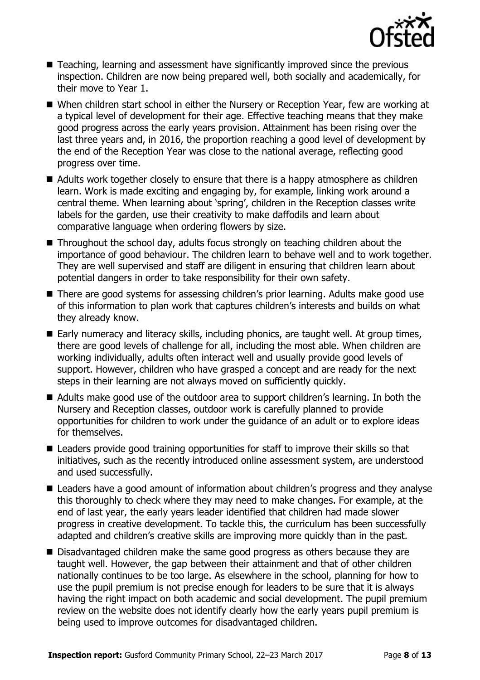

- Teaching, learning and assessment have significantly improved since the previous inspection. Children are now being prepared well, both socially and academically, for their move to Year 1.
- When children start school in either the Nursery or Reception Year, few are working at a typical level of development for their age. Effective teaching means that they make good progress across the early years provision. Attainment has been rising over the last three years and, in 2016, the proportion reaching a good level of development by the end of the Reception Year was close to the national average, reflecting good progress over time.
- Adults work together closely to ensure that there is a happy atmosphere as children learn. Work is made exciting and engaging by, for example, linking work around a central theme. When learning about 'spring', children in the Reception classes write labels for the garden, use their creativity to make daffodils and learn about comparative language when ordering flowers by size.
- Throughout the school day, adults focus strongly on teaching children about the importance of good behaviour. The children learn to behave well and to work together. They are well supervised and staff are diligent in ensuring that children learn about potential dangers in order to take responsibility for their own safety.
- There are good systems for assessing children's prior learning. Adults make good use of this information to plan work that captures children's interests and builds on what they already know.
- Early numeracy and literacy skills, including phonics, are taught well. At group times, there are good levels of challenge for all, including the most able. When children are working individually, adults often interact well and usually provide good levels of support. However, children who have grasped a concept and are ready for the next steps in their learning are not always moved on sufficiently quickly.
- Adults make good use of the outdoor area to support children's learning. In both the Nursery and Reception classes, outdoor work is carefully planned to provide opportunities for children to work under the guidance of an adult or to explore ideas for themselves.
- Leaders provide good training opportunities for staff to improve their skills so that initiatives, such as the recently introduced online assessment system, are understood and used successfully.
- Leaders have a good amount of information about children's progress and they analyse this thoroughly to check where they may need to make changes. For example, at the end of last year, the early years leader identified that children had made slower progress in creative development. To tackle this, the curriculum has been successfully adapted and children's creative skills are improving more quickly than in the past.
- Disadvantaged children make the same good progress as others because they are taught well. However, the gap between their attainment and that of other children nationally continues to be too large. As elsewhere in the school, planning for how to use the pupil premium is not precise enough for leaders to be sure that it is always having the right impact on both academic and social development. The pupil premium review on the website does not identify clearly how the early years pupil premium is being used to improve outcomes for disadvantaged children.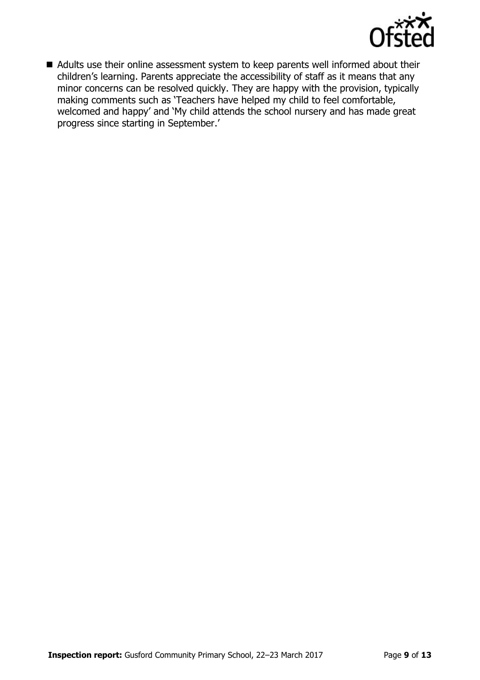

Adults use their online assessment system to keep parents well informed about their children's learning. Parents appreciate the accessibility of staff as it means that any minor concerns can be resolved quickly. They are happy with the provision, typically making comments such as 'Teachers have helped my child to feel comfortable, welcomed and happy' and 'My child attends the school nursery and has made great progress since starting in September.'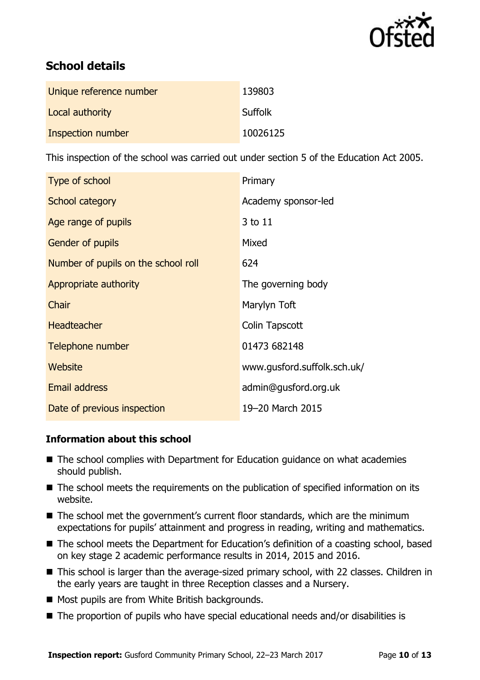

# **School details**

| Unique reference number | 139803         |
|-------------------------|----------------|
| Local authority         | <b>Suffolk</b> |
| Inspection number       | 10026125       |

This inspection of the school was carried out under section 5 of the Education Act 2005.

| Type of school                      | Primary                     |
|-------------------------------------|-----------------------------|
| School category                     | Academy sponsor-led         |
| Age range of pupils                 | 3 to 11                     |
| <b>Gender of pupils</b>             | Mixed                       |
| Number of pupils on the school roll | 624                         |
| Appropriate authority               | The governing body          |
| Chair                               | Marylyn Toft                |
| <b>Headteacher</b>                  | Colin Tapscott              |
| Telephone number                    | 01473 682148                |
| Website                             | www.gusford.suffolk.sch.uk/ |
| <b>Email address</b>                | admin@gusford.org.uk        |
| Date of previous inspection         | 19-20 March 2015            |

#### **Information about this school**

- The school complies with Department for Education guidance on what academies should publish.
- The school meets the requirements on the publication of specified information on its website.
- The school met the government's current floor standards, which are the minimum expectations for pupils' attainment and progress in reading, writing and mathematics.
- The school meets the Department for Education's definition of a coasting school, based on key stage 2 academic performance results in 2014, 2015 and 2016.
- This school is larger than the average-sized primary school, with 22 classes. Children in the early years are taught in three Reception classes and a Nursery.
- Most pupils are from White British backgrounds.
- The proportion of pupils who have special educational needs and/or disabilities is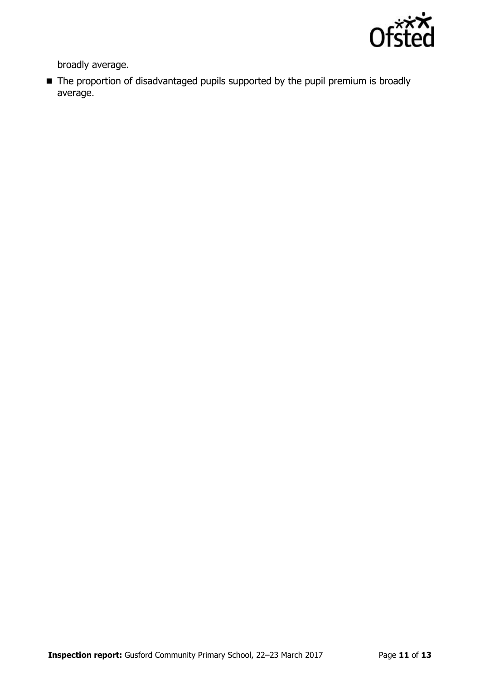

broadly average.

■ The proportion of disadvantaged pupils supported by the pupil premium is broadly average.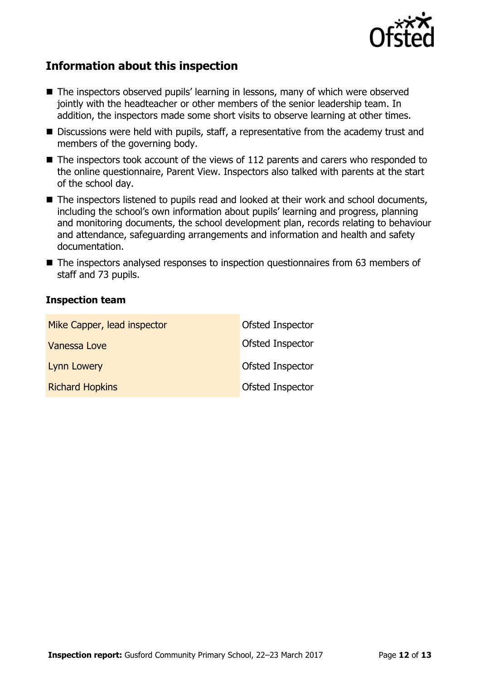

## **Information about this inspection**

- The inspectors observed pupils' learning in lessons, many of which were observed jointly with the headteacher or other members of the senior leadership team. In addition, the inspectors made some short visits to observe learning at other times.
- Discussions were held with pupils, staff, a representative from the academy trust and members of the governing body.
- The inspectors took account of the views of 112 parents and carers who responded to the online questionnaire, Parent View. Inspectors also talked with parents at the start of the school day.
- The inspectors listened to pupils read and looked at their work and school documents, including the school's own information about pupils' learning and progress, planning and monitoring documents, the school development plan, records relating to behaviour and attendance, safeguarding arrangements and information and health and safety documentation.
- The inspectors analysed responses to inspection questionnaires from 63 members of staff and 73 pupils.

#### **Inspection team**

| Mike Capper, lead inspector | Ofsted Inspector |
|-----------------------------|------------------|
| Vanessa Love                | Ofsted Inspector |
| Lynn Lowery                 | Ofsted Inspector |
| <b>Richard Hopkins</b>      | Ofsted Inspector |